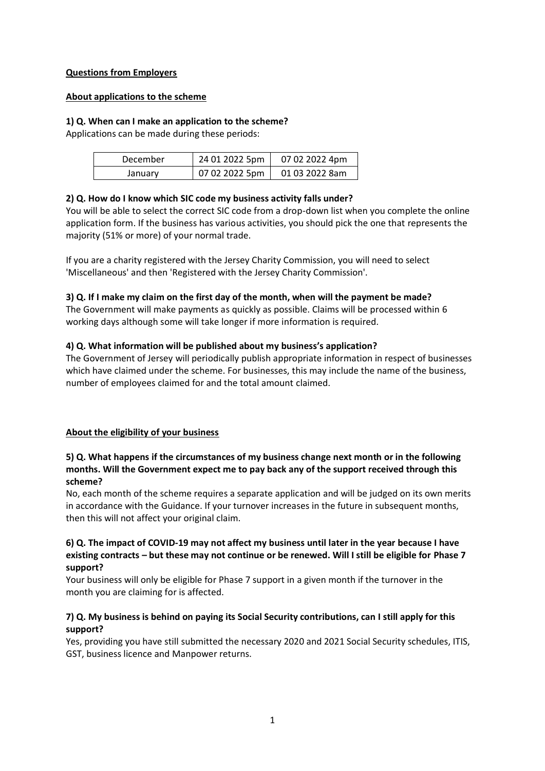### **Questions from Employers**

### **About applications to the scheme**

### **1) Q. When can I make an application to the scheme?**

Applications can be made during these periods:

| December | 24 01 2022 5pm | 07 02 2022 4pm |
|----------|----------------|----------------|
| January  | 07 02 2022 5pm | 01 03 2022 8am |

## **2) Q. How do I know which SIC code my business activity falls under?**

You will be able to select the correct SIC code from a drop-down list when you complete the online application form. If the business has various activities, you should pick the one that represents the majority (51% or more) of your normal trade.

If you are a charity registered with the Jersey Charity Commission, you will need to select 'Miscellaneous' and then 'Registered with the Jersey Charity Commission'.

## **3) Q. If I make my claim on the first day of the month, when will the payment be made?**

The Government will make payments as quickly as possible. Claims will be processed within 6 working days although some will take longer if more information is required.

## **4) Q. What information will be published about my business's application?**

The Government of Jersey will periodically publish appropriate information in respect of businesses which have claimed under the scheme. For businesses, this may include the name of the business, number of employees claimed for and the total amount claimed.

## **About the eligibility of your business**

## **5) Q. What happens if the circumstances of my business change next month or in the following months. Will the Government expect me to pay back any of the support received through this scheme?**

No, each month of the scheme requires a separate application and will be judged on its own merits in accordance with the Guidance. If your turnover increases in the future in subsequent months, then this will not affect your original claim.

## **6) Q. The impact of COVID-19 may not affect my business until later in the year because I have existing contracts – but these may not continue or be renewed. Will I still be eligible for Phase 7 support?**

Your business will only be eligible for Phase 7 support in a given month if the turnover in the month you are claiming for is affected.

## **7) Q. My business is behind on paying its Social Security contributions, can I still apply for this support?**

Yes, providing you have still submitted the necessary 2020 and 2021 Social Security schedules, ITIS, GST, business licence and Manpower returns.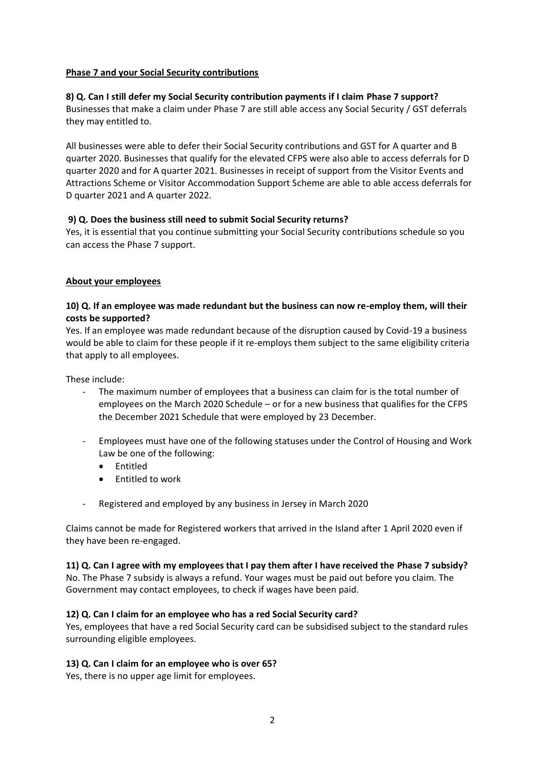### **Phase 7 and your Social Security contributions**

### **8) Q. Can I still defer my Social Security contribution payments if I claim Phase 7 support?**

Businesses that make a claim under Phase 7 are still able access any Social Security / GST deferrals they may entitled to.

All businesses were able to defer their Social Security contributions and GST for A quarter and B quarter 2020. Businesses that qualify for the elevated CFPS were also able to access deferrals for D quarter 2020 and for A quarter 2021. Businesses in receipt of support from the Visitor Events and Attractions Scheme or Visitor Accommodation Support Scheme are able to able access deferrals for D quarter 2021 and A quarter 2022.

### **9) Q. Does the business still need to submit Social Security returns?**

Yes, it is essential that you continue submitting your Social Security contributions schedule so you can access the Phase 7 support.

### **About your employees**

## **10) Q. If an employee was made redundant but the business can now re-employ them, will their costs be supported?**

Yes. If an employee was made redundant because of the disruption caused by Covid-19 a business would be able to claim for these people if it re-employs them subject to the same eligibility criteria that apply to all employees.

These include:

- The maximum number of employees that a business can claim for is the total number of employees on the March 2020 Schedule – or for a new business that qualifies for the CFPS the December 2021 Schedule that were employed by 23 December.
- Employees must have one of the following statuses under the Control of Housing and Work Law be one of the following:
	- Entitled
	- Entitled to work
- Registered and employed by any business in Jersey in March 2020

Claims cannot be made for Registered workers that arrived in the Island after 1 April 2020 even if they have been re-engaged.

## **11) Q. Can I agree with my employees that I pay them after I have received the Phase 7 subsidy?**

No. The Phase 7 subsidy is always a refund. Your wages must be paid out before you claim. The Government may contact employees, to check if wages have been paid.

## **12) Q. Can I claim for an employee who has a red Social Security card?**

Yes, employees that have a red Social Security card can be subsidised subject to the standard rules surrounding eligible employees.

### **13) Q. Can I claim for an employee who is over 65?**

Yes, there is no upper age limit for employees.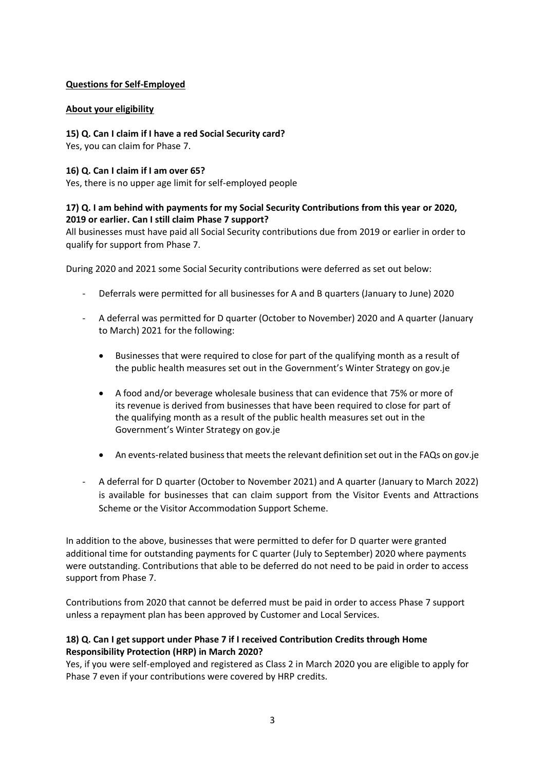## **Questions for Self-Employed**

## **About your eligibility**

### **15) Q. Can I claim if I have a red Social Security card?**

Yes, you can claim for Phase 7.

### **16) Q. Can I claim if I am over 65?**

Yes, there is no upper age limit for self-employed people

## **17) Q. I am behind with payments for my Social Security Contributions from this year or 2020, 2019 or earlier. Can I still claim Phase 7 support?**

All businesses must have paid all Social Security contributions due from 2019 or earlier in order to qualify for support from Phase 7.

During 2020 and 2021 some Social Security contributions were deferred as set out below:

- Deferrals were permitted for all businesses for A and B quarters (January to June) 2020
- A deferral was permitted for D quarter (October to November) 2020 and A quarter (January to March) 2021 for the following:
	- Businesses that were required to close for part of the qualifying month as a result of the public health measures set out in the Government's Winter Strategy on gov.je
	- A food and/or beverage wholesale business that can evidence that 75% or more of its revenue is derived from businesses that have been required to close for part of the qualifying month as a result of the public health measures set out in the Government's Winter Strategy on gov.je
	- An events-related business that meets the relevant definition set out in the FAQs on gov.je
- A deferral for D quarter (October to November 2021) and A quarter (January to March 2022) is available for businesses that can claim support from the Visitor Events and Attractions Scheme or the Visitor Accommodation Support Scheme.

In addition to the above, businesses that were permitted to defer for D quarter were granted additional time for outstanding payments for C quarter (July to September) 2020 where payments were outstanding. Contributions that able to be deferred do not need to be paid in order to access support from Phase 7.

Contributions from 2020 that cannot be deferred must be paid in order to access Phase 7 support unless a repayment plan has been approved by Customer and Local Services.

## **18) Q. Can I get support under Phase 7 if I received Contribution Credits through Home Responsibility Protection (HRP) in March 2020?**

Yes, if you were self-employed and registered as Class 2 in March 2020 you are eligible to apply for Phase 7 even if your contributions were covered by HRP credits.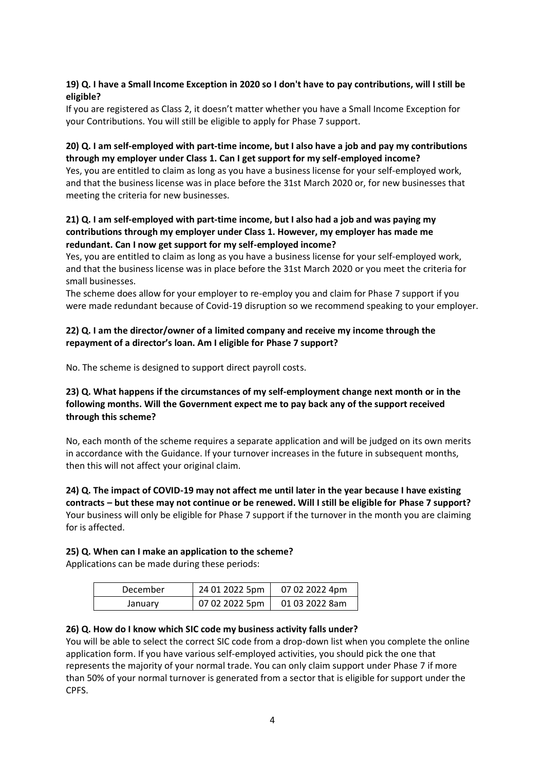## **19) Q. I have a Small Income Exception in 2020 so I don't have to pay contributions, will I still be eligible?**

If you are registered as Class 2, it doesn't matter whether you have a Small Income Exception for your Contributions. You will still be eligible to apply for Phase 7 support.

## **20) Q. I am self-employed with part-time income, but I also have a job and pay my contributions through my employer under Class 1. Can I get support for my self-employed income?**

Yes, you are entitled to claim as long as you have a business license for your self-employed work, and that the business license was in place before the 31st March 2020 or, for new businesses that meeting the criteria for new businesses.

## **21) Q. I am self-employed with part-time income, but I also had a job and was paying my contributions through my employer under Class 1. However, my employer has made me redundant. Can I now get support for my self-employed income?**

Yes, you are entitled to claim as long as you have a business license for your self-employed work, and that the business license was in place before the 31st March 2020 or you meet the criteria for small businesses.

The scheme does allow for your employer to re-employ you and claim for Phase 7 support if you were made redundant because of Covid-19 disruption so we recommend speaking to your employer.

## **22) Q. I am the director/owner of a limited company and receive my income through the repayment of a director's loan. Am I eligible for Phase 7 support?**

No. The scheme is designed to support direct payroll costs.

## **23) Q. What happens if the circumstances of my self-employment change next month or in the following months. Will the Government expect me to pay back any of the support received through this scheme?**

No, each month of the scheme requires a separate application and will be judged on its own merits in accordance with the Guidance. If your turnover increases in the future in subsequent months, then this will not affect your original claim.

## **24) Q. The impact of COVID-19 may not affect me until later in the year because I have existing contracts – but these may not continue or be renewed. Will I still be eligible for Phase 7 support?**  Your business will only be eligible for Phase 7 support if the turnover in the month you are claiming for is affected.

## **25) Q. When can I make an application to the scheme?**

Applications can be made during these periods:

| December | 24 01 2022 5pm | 07 02 2022 4pm |
|----------|----------------|----------------|
| January  | 07 02 2022 5pm | 01 03 2022 8am |

## **26) Q. How do I know which SIC code my business activity falls under?**

You will be able to select the correct SIC code from a drop-down list when you complete the online application form. If you have various self-employed activities, you should pick the one that represents the majority of your normal trade. You can only claim support under Phase 7 if more than 50% of your normal turnover is generated from a sector that is eligible for support under the CPFS.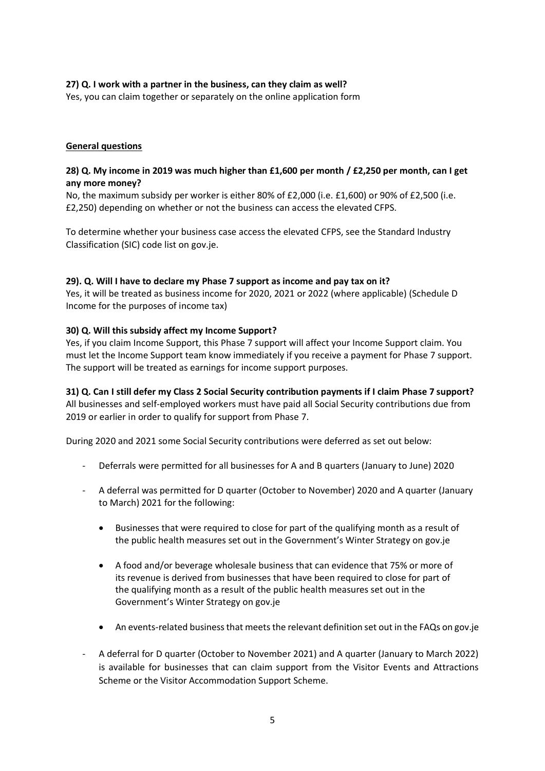## **27) Q. I work with a partner in the business, can they claim as well?**

Yes, you can claim together or separately on the online application form

### **General questions**

### **28) Q. My income in 2019 was much higher than £1,600 per month / £2,250 per month, can I get any more money?**

No, the maximum subsidy per worker is either 80% of £2,000 (i.e. £1,600) or 90% of £2,500 (i.e. £2,250) depending on whether or not the business can access the elevated CFPS.

To determine whether your business case access the elevated CFPS, see the Standard Industry Classification (SIC) code list on gov.je.

### **29). Q. Will I have to declare my Phase 7 support as income and pay tax on it?**

Yes, it will be treated as business income for 2020, 2021 or 2022 (where applicable) (Schedule D Income for the purposes of income tax)

### **30) Q. Will this subsidy affect my Income Support?**

Yes, if you claim Income Support, this Phase 7 support will affect your Income Support claim. You must let the Income Support team know immediately if you receive a payment for Phase 7 support. The support will be treated as earnings for income support purposes.

## **31) Q. Can I still defer my Class 2 Social Security contribution payments if I claim Phase 7 support?**

All businesses and self-employed workers must have paid all Social Security contributions due from 2019 or earlier in order to qualify for support from Phase 7.

During 2020 and 2021 some Social Security contributions were deferred as set out below:

- Deferrals were permitted for all businesses for A and B quarters (January to June) 2020
- A deferral was permitted for D quarter (October to November) 2020 and A quarter (January to March) 2021 for the following:
	- Businesses that were required to close for part of the qualifying month as a result of the public health measures set out in the Government's Winter Strategy on gov.je
	- A food and/or beverage wholesale business that can evidence that 75% or more of its revenue is derived from businesses that have been required to close for part of the qualifying month as a result of the public health measures set out in the Government's Winter Strategy on gov.je
	- An events-related business that meets the relevant definition set out in the FAQs on gov.je
- A deferral for D quarter (October to November 2021) and A quarter (January to March 2022) is available for businesses that can claim support from the Visitor Events and Attractions Scheme or the Visitor Accommodation Support Scheme.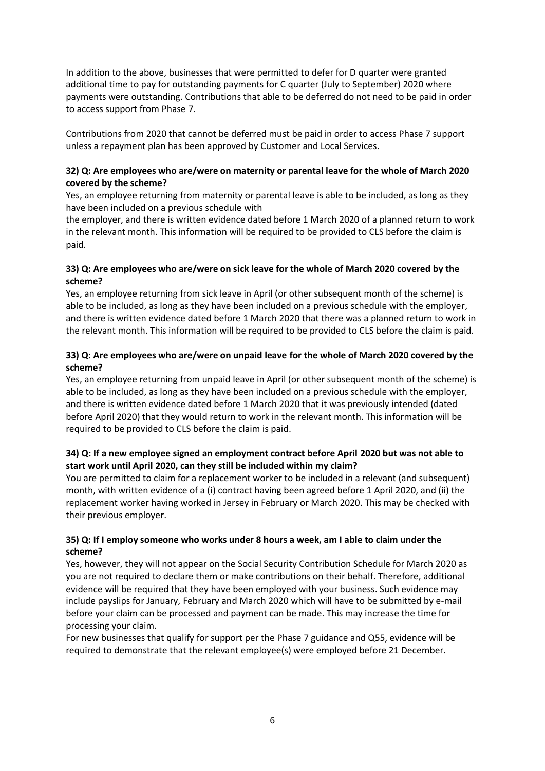In addition to the above, businesses that were permitted to defer for D quarter were granted additional time to pay for outstanding payments for C quarter (July to September) 2020 where payments were outstanding. Contributions that able to be deferred do not need to be paid in order to access support from Phase 7.

Contributions from 2020 that cannot be deferred must be paid in order to access Phase 7 support unless a repayment plan has been approved by Customer and Local Services.

## **32) Q: Are employees who are/were on maternity or parental leave for the whole of March 2020 covered by the scheme?**

Yes, an employee returning from maternity or parental leave is able to be included, as long as they have been included on a previous schedule with

the employer, and there is written evidence dated before 1 March 2020 of a planned return to work in the relevant month. This information will be required to be provided to CLS before the claim is paid.

## **33) Q: Are employees who are/were on sick leave for the whole of March 2020 covered by the scheme?**

Yes, an employee returning from sick leave in April (or other subsequent month of the scheme) is able to be included, as long as they have been included on a previous schedule with the employer, and there is written evidence dated before 1 March 2020 that there was a planned return to work in the relevant month. This information will be required to be provided to CLS before the claim is paid.

## **33) Q: Are employees who are/were on unpaid leave for the whole of March 2020 covered by the scheme?**

Yes, an employee returning from unpaid leave in April (or other subsequent month of the scheme) is able to be included, as long as they have been included on a previous schedule with the employer, and there is written evidence dated before 1 March 2020 that it was previously intended (dated before April 2020) that they would return to work in the relevant month. This information will be required to be provided to CLS before the claim is paid.

## **34) Q: If a new employee signed an employment contract before April 2020 but was not able to start work until April 2020, can they still be included within my claim?**

You are permitted to claim for a replacement worker to be included in a relevant (and subsequent) month, with written evidence of a (i) contract having been agreed before 1 April 2020, and (ii) the replacement worker having worked in Jersey in February or March 2020. This may be checked with their previous employer.

### **35) Q: If I employ someone who works under 8 hours a week, am I able to claim under the scheme?**

Yes, however, they will not appear on the Social Security Contribution Schedule for March 2020 as you are not required to declare them or make contributions on their behalf. Therefore, additional evidence will be required that they have been employed with your business. Such evidence may include payslips for January, February and March 2020 which will have to be submitted by e-mail before your claim can be processed and payment can be made. This may increase the time for processing your claim.

For new businesses that qualify for support per the Phase 7 guidance and Q55, evidence will be required to demonstrate that the relevant employee(s) were employed before 21 December.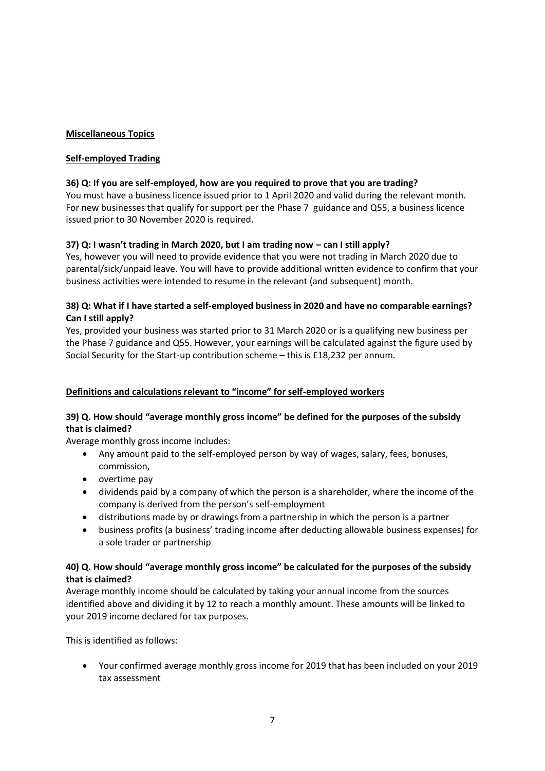## **Miscellaneous Topics**

## **Self-employed Trading**

## **36) Q: If you are self-employed, how are you required to prove that you are trading?**

You must have a business licence issued prior to 1 April 2020 and valid during the relevant month. For new businesses that qualify for support per the Phase 7 guidance and Q55, a business licence issued prior to 30 November 2020 is required.

## **37) Q: I wasn't trading in March 2020, but I am trading now – can I still apply?**

Yes, however you will need to provide evidence that you were not trading in March 2020 due to parental/sick/unpaid leave. You will have to provide additional written evidence to confirm that your business activities were intended to resume in the relevant (and subsequent) month.

## **38) Q: What if I have started a self-employed business in 2020 and have no comparable earnings? Can I still apply?**

Yes, provided your business was started prior to 31 March 2020 or is a qualifying new business per the Phase 7 guidance and Q55. However, your earnings will be calculated against the figure used by Social Security for the Start-up contribution scheme – this is £18,232 per annum.

## **Definitions and calculations relevant to "income" for self-employed workers**

## **39) Q. How should "average monthly gross income" be defined for the purposes of the subsidy that is claimed?**

Average monthly gross income includes:

- Any amount paid to the self-employed person by way of wages, salary, fees, bonuses, commission,
- overtime pay
- dividends paid by a company of which the person is a shareholder, where the income of the company is derived from the person's self-employment
- distributions made by or drawings from a partnership in which the person is a partner
- business profits (a business' trading income after deducting allowable business expenses) for a sole trader or partnership

## **40) Q. How should "average monthly gross income" be calculated for the purposes of the subsidy that is claimed?**

Average monthly income should be calculated by taking your annual income from the sources identified above and dividing it by 12 to reach a monthly amount. These amounts will be linked to your 2019 income declared for tax purposes.

This is identified as follows:

• Your confirmed average monthly gross income for 2019 that has been included on your 2019 tax assessment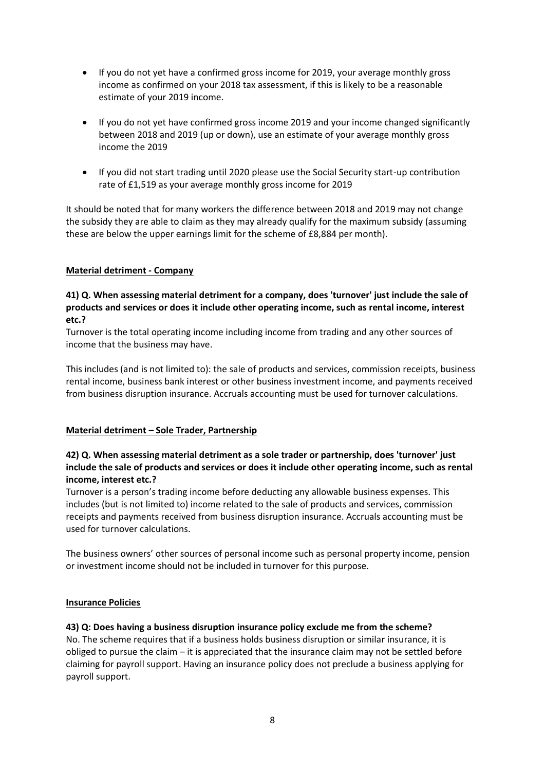- If you do not yet have a confirmed gross income for 2019, your average monthly gross income as confirmed on your 2018 tax assessment, if this is likely to be a reasonable estimate of your 2019 income.
- If you do not yet have confirmed gross income 2019 and your income changed significantly between 2018 and 2019 (up or down), use an estimate of your average monthly gross income the 2019
- If you did not start trading until 2020 please use the Social Security start-up contribution rate of £1,519 as your average monthly gross income for 2019

It should be noted that for many workers the difference between 2018 and 2019 may not change the subsidy they are able to claim as they may already qualify for the maximum subsidy (assuming these are below the upper earnings limit for the scheme of £8,884 per month).

### **Material detriment - Company**

### **41) Q. When assessing material detriment for a company, does 'turnover' just include the sale of products and services or does it include other operating income, such as rental income, interest etc.?**

Turnover is the total operating income including income from trading and any other sources of income that the business may have.

This includes (and is not limited to): the sale of products and services, commission receipts, business rental income, business bank interest or other business investment income, and payments received from business disruption insurance. Accruals accounting must be used for turnover calculations.

### **Material detriment – Sole Trader, Partnership**

## **42) Q. When assessing material detriment as a sole trader or partnership, does 'turnover' just include the sale of products and services or does it include other operating income, such as rental income, interest etc.?**

Turnover is a person's trading income before deducting any allowable business expenses. This includes (but is not limited to) income related to the sale of products and services, commission receipts and payments received from business disruption insurance. Accruals accounting must be used for turnover calculations.

The business owners' other sources of personal income such as personal property income, pension or investment income should not be included in turnover for this purpose.

### **Insurance Policies**

**43) Q: Does having a business disruption insurance policy exclude me from the scheme?**  No. The scheme requires that if a business holds business disruption or similar insurance, it is obliged to pursue the claim – it is appreciated that the insurance claim may not be settled before claiming for payroll support. Having an insurance policy does not preclude a business applying for payroll support.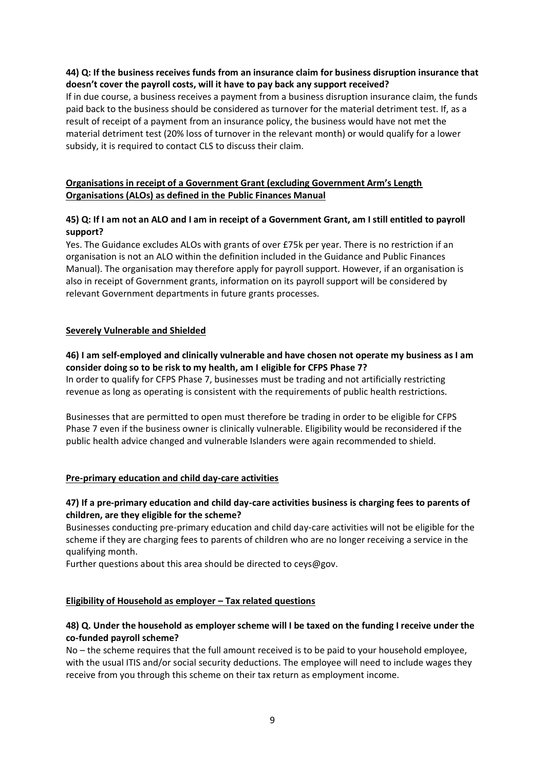## **44) Q: If the business receives funds from an insurance claim for business disruption insurance that doesn't cover the payroll costs, will it have to pay back any support received?**

If in due course, a business receives a payment from a business disruption insurance claim, the funds paid back to the business should be considered as turnover for the material detriment test. If, as a result of receipt of a payment from an insurance policy, the business would have not met the material detriment test (20% loss of turnover in the relevant month) or would qualify for a lower subsidy, it is required to contact CLS to discuss their claim.

## **Organisations in receipt of a Government Grant (excluding Government Arm's Length Organisations (ALOs) as defined in the Public Finances Manual**

## **45) Q: If I am not an ALO and I am in receipt of a Government Grant, am I still entitled to payroll support?**

Yes. The Guidance excludes ALOs with grants of over £75k per year. There is no restriction if an organisation is not an ALO within the definition included in the Guidance and Public Finances Manual). The organisation may therefore apply for payroll support. However, if an organisation is also in receipt of Government grants, information on its payroll support will be considered by relevant Government departments in future grants processes.

### **Severely Vulnerable and Shielded**

## **46) I am self-employed and clinically vulnerable and have chosen not operate my business as I am consider doing so to be risk to my health, am I eligible for CFPS Phase 7?**

In order to qualify for CFPS Phase 7, businesses must be trading and not artificially restricting revenue as long as operating is consistent with the requirements of public health restrictions.

Businesses that are permitted to open must therefore be trading in order to be eligible for CFPS Phase 7 even if the business owner is clinically vulnerable. Eligibility would be reconsidered if the public health advice changed and vulnerable Islanders were again recommended to shield.

## **Pre-primary education and child day-care activities**

## **47) If a pre-primary education and child day-care activities business is charging fees to parents of children, are they eligible for the scheme?**

Businesses conducting pre-primary education and child day-care activities will not be eligible for the scheme if they are charging fees to parents of children who are no longer receiving a service in the qualifying month.

Further questions about this area should be directed to ceys@gov.

## **Eligibility of Household as employer – Tax related questions**

## **48) Q. Under the household as employer scheme will I be taxed on the funding I receive under the co-funded payroll scheme?**

No – the scheme requires that the full amount received is to be paid to your household employee, with the usual ITIS and/or social security deductions. The employee will need to include wages they receive from you through this scheme on their tax return as employment income.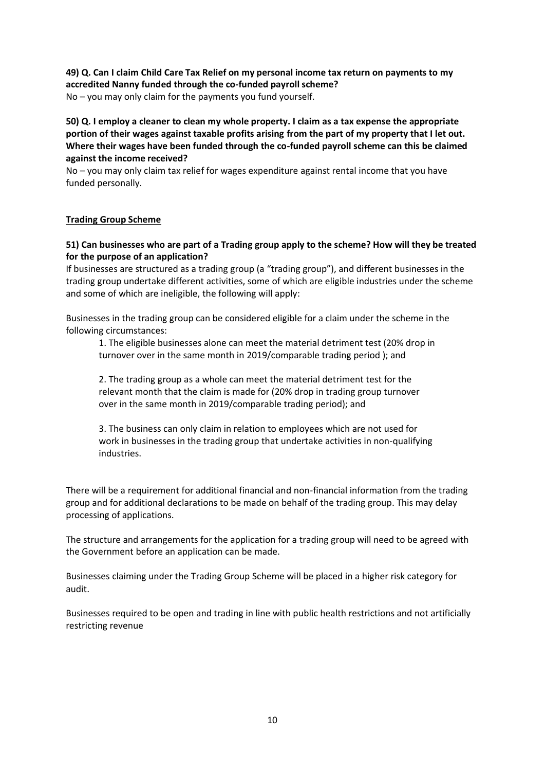# **49) Q. Can I claim Child Care Tax Relief on my personal income tax return on payments to my accredited Nanny funded through the co-funded payroll scheme?**

No – you may only claim for the payments you fund yourself.

**50) Q. I employ a cleaner to clean my whole property. I claim as a tax expense the appropriate portion of their wages against taxable profits arising from the part of my property that I let out. Where their wages have been funded through the co-funded payroll scheme can this be claimed against the income received?** 

No – you may only claim tax relief for wages expenditure against rental income that you have funded personally.

### **Trading Group Scheme**

## **51) Can businesses who are part of a Trading group apply to the scheme? How will they be treated for the purpose of an application?**

If businesses are structured as a trading group (a "trading group"), and different businesses in the trading group undertake different activities, some of which are eligible industries under the scheme and some of which are ineligible, the following will apply:

Businesses in the trading group can be considered eligible for a claim under the scheme in the following circumstances:

1. The eligible businesses alone can meet the material detriment test (20% drop in turnover over in the same month in 2019/comparable trading period ); and

2. The trading group as a whole can meet the material detriment test for the relevant month that the claim is made for (20% drop in trading group turnover over in the same month in 2019/comparable trading period); and

3. The business can only claim in relation to employees which are not used for work in businesses in the trading group that undertake activities in non-qualifying industries.

There will be a requirement for additional financial and non-financial information from the trading group and for additional declarations to be made on behalf of the trading group. This may delay processing of applications.

The structure and arrangements for the application for a trading group will need to be agreed with the Government before an application can be made.

Businesses claiming under the Trading Group Scheme will be placed in a higher risk category for audit.

Businesses required to be open and trading in line with public health restrictions and not artificially restricting revenue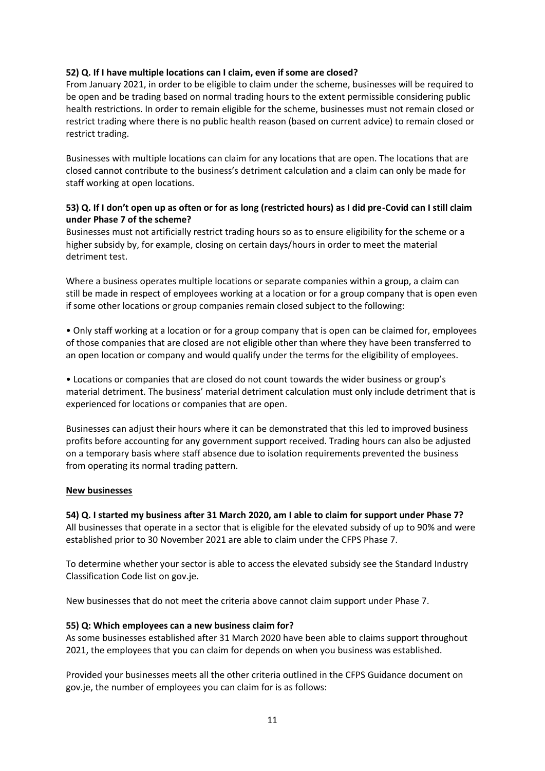## **52) Q. If I have multiple locations can I claim, even if some are closed?**

From January 2021, in order to be eligible to claim under the scheme, businesses will be required to be open and be trading based on normal trading hours to the extent permissible considering public health restrictions. In order to remain eligible for the scheme, businesses must not remain closed or restrict trading where there is no public health reason (based on current advice) to remain closed or restrict trading.

Businesses with multiple locations can claim for any locations that are open. The locations that are closed cannot contribute to the business's detriment calculation and a claim can only be made for staff working at open locations.

## **53) Q. If I don't open up as often or for as long (restricted hours) as I did pre-Covid can I still claim under Phase 7 of the scheme?**

Businesses must not artificially restrict trading hours so as to ensure eligibility for the scheme or a higher subsidy by, for example, closing on certain days/hours in order to meet the material detriment test.

Where a business operates multiple locations or separate companies within a group, a claim can still be made in respect of employees working at a location or for a group company that is open even if some other locations or group companies remain closed subject to the following:

• Only staff working at a location or for a group company that is open can be claimed for, employees of those companies that are closed are not eligible other than where they have been transferred to an open location or company and would qualify under the terms for the eligibility of employees.

• Locations or companies that are closed do not count towards the wider business or group's material detriment. The business' material detriment calculation must only include detriment that is experienced for locations or companies that are open.

Businesses can adjust their hours where it can be demonstrated that this led to improved business profits before accounting for any government support received. Trading hours can also be adjusted on a temporary basis where staff absence due to isolation requirements prevented the business from operating its normal trading pattern.

### **New businesses**

**54) Q. I started my business after 31 March 2020, am I able to claim for support under Phase 7?**  All businesses that operate in a sector that is eligible for the elevated subsidy of up to 90% and were established prior to 30 November 2021 are able to claim under the CFPS Phase 7.

To determine whether your sector is able to access the elevated subsidy see the Standard Industry Classification Code list on gov.je.

New businesses that do not meet the criteria above cannot claim support under Phase 7.

### **55) Q: Which employees can a new business claim for?**

As some businesses established after 31 March 2020 have been able to claims support throughout 2021, the employees that you can claim for depends on when you business was established.

Provided your businesses meets all the other criteria outlined in the CFPS Guidance document on gov.je, the number of employees you can claim for is as follows: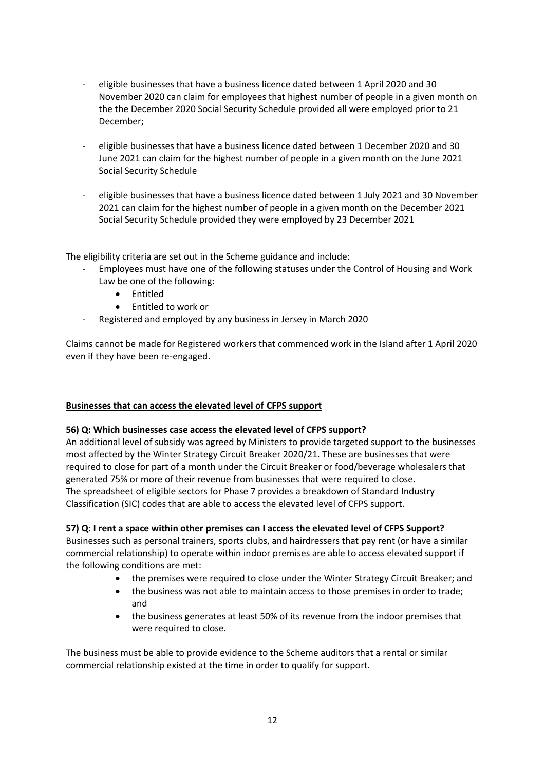- eligible businesses that have a business licence dated between 1 April 2020 and 30 November 2020 can claim for employees that highest number of people in a given month on the the December 2020 Social Security Schedule provided all were employed prior to 21 December;
- eligible businesses that have a business licence dated between 1 December 2020 and 30 June 2021 can claim for the highest number of people in a given month on the June 2021 Social Security Schedule
- eligible businesses that have a business licence dated between 1 July 2021 and 30 November 2021 can claim for the highest number of people in a given month on the December 2021 Social Security Schedule provided they were employed by 23 December 2021

The eligibility criteria are set out in the Scheme guidance and include:

- Employees must have one of the following statuses under the Control of Housing and Work Law be one of the following:
	- Entitled
	- Entitled to work or
- Registered and employed by any business in Jersey in March 2020

Claims cannot be made for Registered workers that commenced work in the Island after 1 April 2020 even if they have been re-engaged.

### **Businesses that can access the elevated level of CFPS support**

### **56) Q: Which businesses case access the elevated level of CFPS support?**

An additional level of subsidy was agreed by Ministers to provide targeted support to the businesses most affected by the Winter Strategy Circuit Breaker 2020/21. These are businesses that were required to close for part of a month under the Circuit Breaker or food/beverage wholesalers that generated 75% or more of their revenue from businesses that were required to close. The spreadsheet of eligible sectors for Phase 7 provides a breakdown of Standard Industry Classification (SIC) codes that are able to access the elevated level of CFPS support.

### **57) Q: I rent a space within other premises can I access the elevated level of CFPS Support?**

Businesses such as personal trainers, sports clubs, and hairdressers that pay rent (or have a similar commercial relationship) to operate within indoor premises are able to access elevated support if the following conditions are met:

- the premises were required to close under the Winter Strategy Circuit Breaker; and
- the business was not able to maintain access to those premises in order to trade; and
- the business generates at least 50% of its revenue from the indoor premises that were required to close.

The business must be able to provide evidence to the Scheme auditors that a rental or similar commercial relationship existed at the time in order to qualify for support.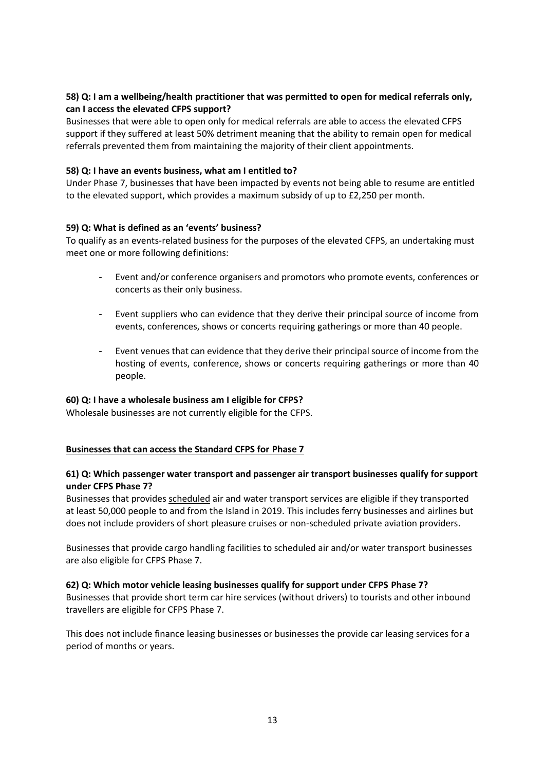## **58) Q: I am a wellbeing/health practitioner that was permitted to open for medical referrals only, can I access the elevated CFPS support?**

Businesses that were able to open only for medical referrals are able to access the elevated CFPS support if they suffered at least 50% detriment meaning that the ability to remain open for medical referrals prevented them from maintaining the majority of their client appointments.

### **58) Q: I have an events business, what am I entitled to?**

Under Phase 7, businesses that have been impacted by events not being able to resume are entitled to the elevated support, which provides a maximum subsidy of up to £2,250 per month.

### **59) Q: What is defined as an 'events' business?**

To qualify as an events-related business for the purposes of the elevated CFPS, an undertaking must meet one or more following definitions:

- Event and/or conference organisers and promotors who promote events, conferences or concerts as their only business.
- Event suppliers who can evidence that they derive their principal source of income from events, conferences, shows or concerts requiring gatherings or more than 40 people.
- Event venues that can evidence that they derive their principal source of income from the hosting of events, conference, shows or concerts requiring gatherings or more than 40 people.

### **60) Q: I have a wholesale business am I eligible for CFPS?**

Wholesale businesses are not currently eligible for the CFPS.

### **Businesses that can access the Standard CFPS for Phase 7**

### **61) Q: Which passenger water transport and passenger air transport businesses qualify for support under CFPS Phase 7?**

Businesses that provides scheduled air and water transport services are eligible if they transported at least 50,000 people to and from the Island in 2019. This includes ferry businesses and airlines but does not include providers of short pleasure cruises or non-scheduled private aviation providers.

Businesses that provide cargo handling facilities to scheduled air and/or water transport businesses are also eligible for CFPS Phase 7.

### **62) Q: Which motor vehicle leasing businesses qualify for support under CFPS Phase 7?**

Businesses that provide short term car hire services (without drivers) to tourists and other inbound travellers are eligible for CFPS Phase 7.

This does not include finance leasing businesses or businesses the provide car leasing services for a period of months or years.